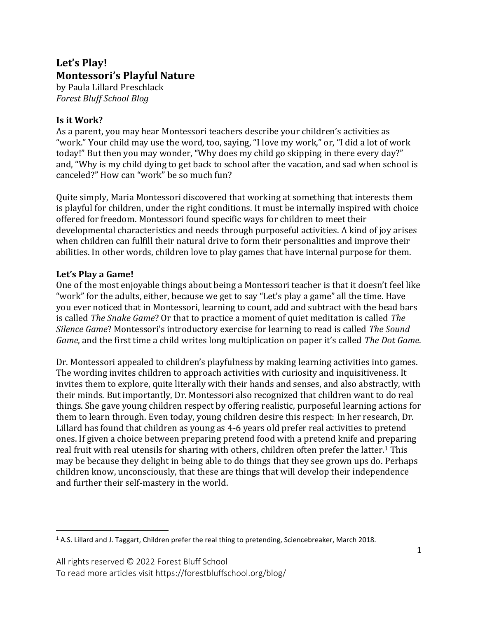# **Let's Play! Montessori's Playful Nature**

by Paula Lillard Preschlack *Forest Bluff School Blog*

## **Is it Work?**

As a parent, you may hear Montessori teachers describe your children's activities as "work." Your child may use the word, too, saying, "I love my work," or, "I did a lot of work today!" But then you may wonder, "Why does my child go skipping in there every day?" and, "Why is my child dying to get back to school after the vacation, and sad when school is canceled?" How can "work" be so much fun?

Quite simply, Maria Montessori discovered that working at something that interests them is playful for children, under the right conditions. It must be internally inspired with choice offered for freedom. Montessori found specific ways for children to meet their developmental characteristics and needs through purposeful activities. A kind of joy arises when children can fulfill their natural drive to form their personalities and improve their abilities. In other words, children love to play games that have internal purpose for them.

## **Let's Play a Game!**

One of the most enjoyable things about being a Montessori teacher is that it doesn't feel like "work" for the adults, either, because we get to say "Let's play a game" all the time. Have you ever noticed that in Montessori, learning to count, add and subtract with the bead bars is called *The Snake Game*? Or that to practice a moment of quiet meditation is called *The Silence Game*? Montessori's introductory exercise for learning to read is called *The Sound Game*, and the first time a child writes long multiplication on paper it's called *The Dot Game*.

Dr. Montessori appealed to children's playfulness by making learning activities into games. The wording invites children to approach activities with curiosity and inquisitiveness. It invites them to explore, quite literally with their hands and senses, and also abstractly, with their minds. But importantly, Dr. Montessori also recognized that children want to do real things. She gave young children respect by offering realistic, purposeful learning actions for them to learn through. Even today, young children desire this respect: In her research, Dr. Lillard has found that children as young as 4-6 years old prefer real activities to pretend ones. If given a choice between preparing pretend food with a pretend knife and preparing real fruit with real utensils for sharing with others, children often prefer the latter.<sup>1</sup> This may be because they delight in being able to do things that they see grown ups do. Perhaps children know, unconsciously, that these are things that will develop their independence and further their self-mastery in the world.

<sup>1</sup> A.S. Lillard and J. Taggart, Children prefer the real thing to pretending, Sciencebreaker, March 2018.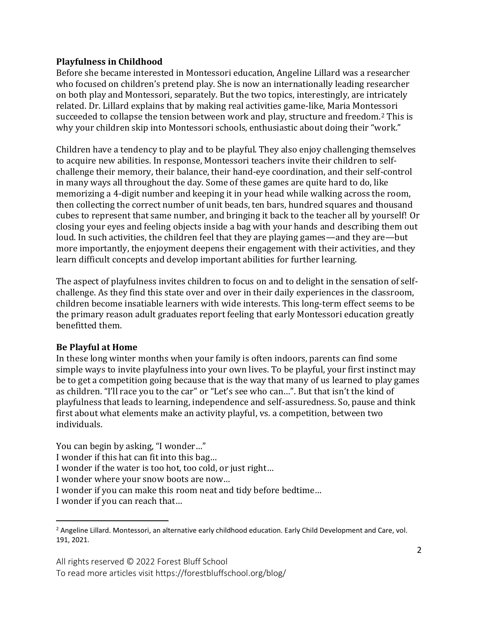#### **Playfulness in Childhood**

Before she became interested in Montessori education, Angeline Lillard was a researcher who focused on children's pretend play. She is now an internationally leading researcher on both play and Montessori, separately. But the two topics, interestingly, are intricately related. Dr. Lillard explains that by making real activities game-like, Maria Montessori succeeded to collapse the tension between work and play, structure and freedom.<sup>2</sup> This is why your children skip into Montessori schools, enthusiastic about doing their "work."

Children have a tendency to play and to be playful. They also enjoy challenging themselves to acquire new abilities. In response, Montessori teachers invite their children to selfchallenge their memory, their balance, their hand-eye coordination, and their self-control in many ways all throughout the day. Some of these games are quite hard to do, like memorizing a 4-digit number and keeping it in your head while walking across the room, then collecting the correct number of unit beads, ten bars, hundred squares and thousand cubes to represent that same number, and bringing it back to the teacher all by yourself! Or closing your eyes and feeling objects inside a bag with your hands and describing them out loud. In such activities, the children feel that they are playing games—and they are—but more importantly, the enjoyment deepens their engagement with their activities, and they learn difficult concepts and develop important abilities for further learning.

The aspect of playfulness invites children to focus on and to delight in the sensation of selfchallenge. As they find this state over and over in their daily experiences in the classroom, children become insatiable learners with wide interests. This long-term effect seems to be the primary reason adult graduates report feeling that early Montessori education greatly benefitted them.

## **Be Playful at Home**

In these long winter months when your family is often indoors, parents can find some simple ways to invite playfulness into your own lives. To be playful, your first instinct may be to get a competition going because that is the way that many of us learned to play games as children. "I'll race you to the car" or "Let's see who can…". But that isn't the kind of playfulness that leads to learning, independence and self-assuredness. So, pause and think first about what elements make an activity playful, vs. a competition, between two individuals.

You can begin by asking, "I wonder…"

I wonder if this hat can fit into this bag…

I wonder if the water is too hot, too cold, or just right…

I wonder where your snow boots are now…

I wonder if you can make this room neat and tidy before bedtime…

I wonder if you can reach that…

<sup>&</sup>lt;sup>2</sup> Angeline Lillard. Montessori, an alternative early childhood education. Early Child Development and Care, vol. 191, 2021.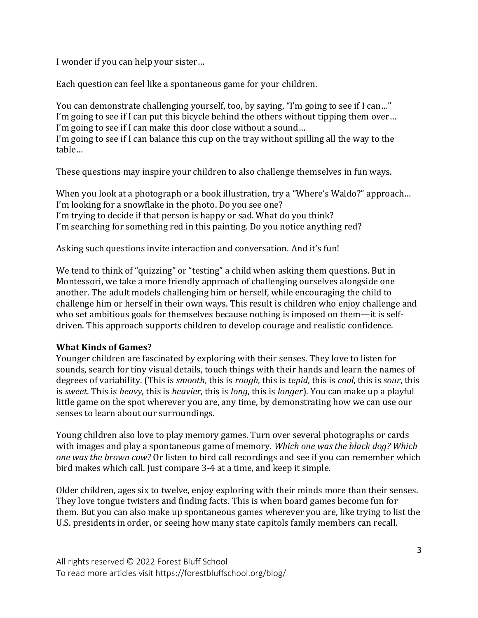I wonder if you can help your sister…

Each question can feel like a spontaneous game for your children.

You can demonstrate challenging yourself, too, by saying, "I'm going to see if I can…" I'm going to see if I can put this bicycle behind the others without tipping them over… I'm going to see if I can make this door close without a sound… I'm going to see if I can balance this cup on the tray without spilling all the way to the table…

These questions may inspire your children to also challenge themselves in fun ways.

When you look at a photograph or a book illustration, try a "Where's Waldo?" approach… I'm looking for a snowflake in the photo. Do you see one? I'm trying to decide if that person is happy or sad. What do you think? I'm searching for something red in this painting. Do you notice anything red?

Asking such questions invite interaction and conversation. And it's fun!

We tend to think of "quizzing" or "testing" a child when asking them questions. But in Montessori, we take a more friendly approach of challenging ourselves alongside one another. The adult models challenging him or herself, while encouraging the child to challenge him or herself in their own ways. This result is children who enjoy challenge and who set ambitious goals for themselves because nothing is imposed on them—it is selfdriven. This approach supports children to develop courage and realistic confidence.

## **What Kinds of Games?**

Younger children are fascinated by exploring with their senses. They love to listen for sounds, search for tiny visual details, touch things with their hands and learn the names of degrees of variability. (This is *smooth*, this is *rough*, this is *tepid*, this is *cool*, this is *sour*, this is *sweet*. This is *heavy*, this is *heavier*, this is *long*, this is *longer*). You can make up a playful little game on the spot wherever you are, any time, by demonstrating how we can use our senses to learn about our surroundings.

Young children also love to play memory games. Turn over several photographs or cards with images and play a spontaneous game of memory. *Which one was the black dog? Which one was the brown cow?* Or listen to bird call recordings and see if you can remember which bird makes which call. Just compare 3-4 at a time, and keep it simple.

Older children, ages six to twelve, enjoy exploring with their minds more than their senses. They love tongue twisters and finding facts. This is when board games become fun for them. But you can also make up spontaneous games wherever you are, like trying to list the U.S. presidents in order, or seeing how many state capitols family members can recall.